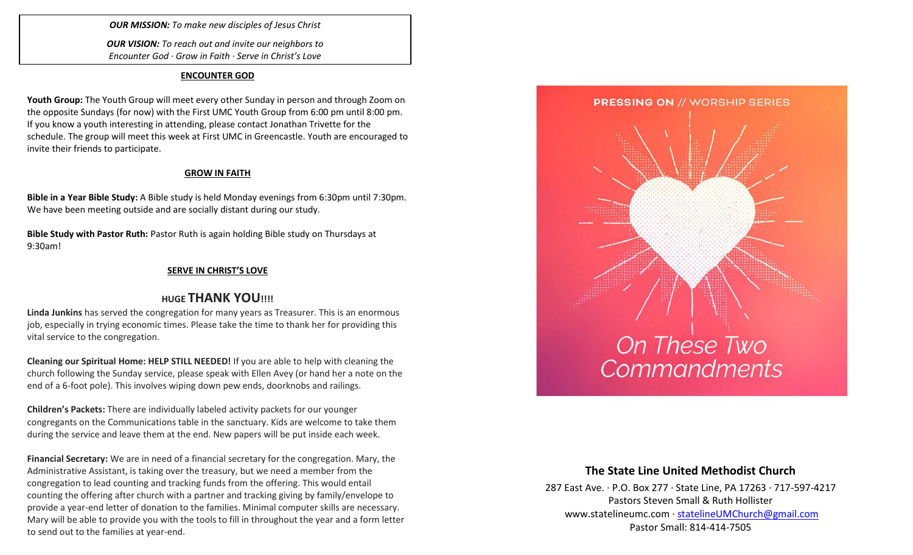*OUR MISSION: To make new disciples of Jesus Christ*

*OUR VISION: To reach out and invite our neighbors to Encounter God · Grow in Faith · Serve in Christ's Love*

#### **ENCOUNTER GOD**

**Youth Group:** The Youth Group will meet every other Sunday in person and through Zoom on the opposite Sundays (for now) with the First UMC Youth Group from 6:00 pm until 8:00 pm. If you know a youth interesting in attending, please contact Jonathan Trivette for the schedule. The group will meet this week at First UMC in Greencastle. Youth are encouraged to invite their friends to participate.

## **GROW IN FAITH**

**Bible in a Year Bible Study:** A Bible study is held Monday evenings from 6:30pm until 7:30pm. We have been meeting outside and are socially distant during our study.

**Bible Study with Pastor Ruth:** Pastor Ruth is again holding Bible study on Thursdays at 9:30am!

## **SERVE IN CHRIST'S LOVE**

## **HUGE THANK YOU!!!!**

**Linda Junkins** has served the congregation for many years as Treasurer. This is an enormous job, especially in trying economic times. Please take the time to thank her for providing this vital service to the congregation.

**Cleaning our Spiritual Home: HELP STILL NEEDED!** If you are able to help with cleaning the church following the Sunday service, please speak with Ellen Avey (or hand her a note on the end of a 6-foot pole). This involves wiping down pew ends, doorknobs and railings.

**Children's Packets:** There are individually labeled activity packets for our younger congregants on the Communications table in the sanctuary. Kids are welcome to take them during the service and leave them at the end. New papers will be put inside each week.

**Financial Secretary:** We are in need of a financial secretary for the congregation. Mary, the Administrative Assistant, is taking over the treasury, but we need a member from the congregation to lead counting and tracking funds from the offering. This would entail counting the offering after church with a partner and tracking giving by family/envelope to provide a year-end letter of donation to the families. Minimal computer skills are necessary. Mary will be able to provide you with the tools to fill in throughout the year and a form letter to send out to the families at year-end.



## **The State Line United Methodist Church**

287 East Ave. · P.O. Box 277 · State Line, PA 17263 · 717-597-4217 Pastors Steven Small & Ruth Hollister [www.statelineumc.com](http://www.statelineumc.com/) · [statelineUMChurch@gmail.com](mailto:statelineUMChurch@gmail.com) Pastor Small: 814-414-7505